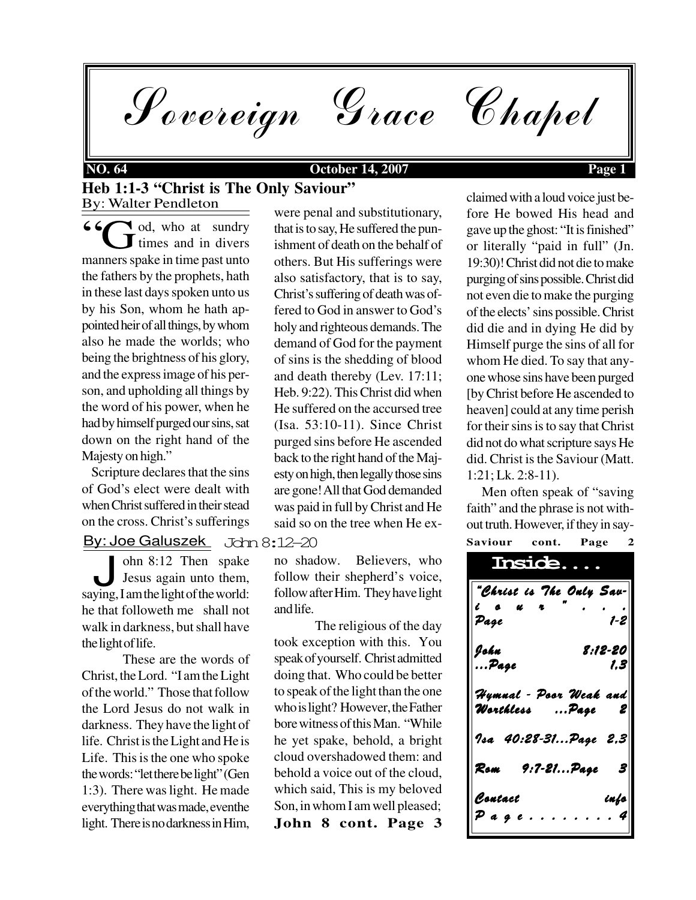Sovereign Grace Chapel

#### **NO. 64 October 14, 2007 Page 1**

### By: Walter Pendleton **Heb 1:1-3 "Christ is The Only Saviour"**

d, who at sundry  $\mathbf{J}$  times and in divers <sup>6</sup>  $\bigodot$  od, who at sundry times and in divers manners spake in time past unto the fathers by the prophets, hath in these last days spoken unto us by his Son, whom he hath appointed heir of all things, by whom also he made the worlds; who being the brightness of his glory, and the express image of his person, and upholding all things by the word of his power, when he had by himself purged our sins, sat down on the right hand of the Majesty on high."

 Scripture declares that the sins of God's elect were dealt with when Christ suffered in their stead on the cross. Christ's sufferings

#### John 8:12-20 By: Joe Galuszek

John 8:12 Then spake<br>Jesus again unto them,<br>saying, I am the light of the world: ohn 8:12 Then spake Jesus again unto them, he that followeth me shall not walk in darkness, but shall have the light of life.

These are the words of Christ, the Lord. "I am the Light of the world." Those that follow the Lord Jesus do not walk in darkness. They have the light of life. Christ is the Light and He is Life. This is the one who spoke the words: "let there be light" (Gen 1:3). There was light. He made everything that was made, eventhe light. There is no darkness in Him,

were penal and substitutionary, that is to say, He suffered the punishment of death on the behalf of others. But His sufferings were also satisfactory, that is to say, Christ's suffering of death was offered to God in answer to God's holy and righteous demands. The demand of God for the payment of sins is the shedding of blood and death thereby (Lev. 17:11; Heb. 9:22). This Christ did when He suffered on the accursed tree (Isa. 53:10-11). Since Christ purged sins before He ascended back to the right hand of the Majesty on high, then legally those sins are gone! All that God demanded was paid in full by Christ and He said so on the tree when He ex-

no shadow. Believers, who follow their shepherd's voice, follow after Him. They have light and life.

**John 8 cont. Page 3** The religious of the day took exception with this. You speak of yourself. Christ admitted doing that. Who could be better to speak of the light than the one who is light? However, the Father bore witness of this Man. "While he yet spake, behold, a bright cloud overshadowed them: and behold a voice out of the cloud, which said, This is my beloved Son, in whom I am well pleased;

claimed with a loud voice just before He bowed His head and gave up the ghost: "It is finished" or literally "paid in full" (Jn. 19:30)! Christ did not die to make purging of sins possible. Christ did not even die to make the purging of the elects' sins possible. Christ did die and in dying He did by Himself purge the sins of all for whom He died. To say that anyone whose sins have been purged [by Christ before He ascended to heaven] could at any time perish for their sins is to say that Christ did not do what scripture says He did. Christ is the Saviour (Matt. 1:21; Lk. 2:8-11).

**Saviour cont. Page 2** Men often speak of "saving faith" and the phrase is not without truth. However, if they in say-

| <b>Inside.</b>                                                          |
|-------------------------------------------------------------------------|
| "Christ is The Ouly Sau-<br>$\theta$<br>$\epsilon$ a $\alpha$ r<br>Page |
| John<br>8:12-20<br>Page<br>1,3                                          |
| Hymnal - Poor Weak and<br>Worthless  Page                               |
| $  \hspace{.06cm} 1$ sa 40:28-31Page 2,3 $ $                            |
| Rom<br>9:7-21Page<br>$ \mathbf{S} $                                     |
| Contact<br>info<br>$\mathcal P$ a g e                                   |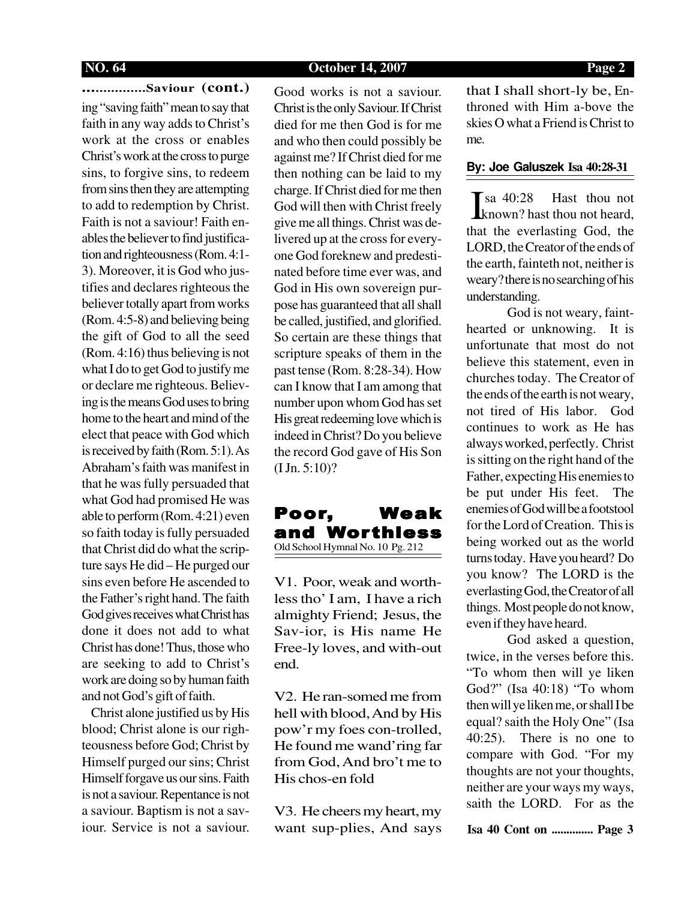**NO. 64 October 14, 2007 Page 2**

**................Saviour (cont.)** ing "saving faith" mean to say that faith in any way adds to Christ's work at the cross or enables Christ's work at the cross to purge sins, to forgive sins, to redeem from sins then they are attempting to add to redemption by Christ. Faith is not a saviour! Faith enables the believer to find justification and righteousness (Rom. 4:1- 3). Moreover, it is God who justifies and declares righteous the believer totally apart from works (Rom. 4:5-8) and believing being the gift of God to all the seed (Rom. 4:16) thus believing is not what I do to get God to justify me or declare me righteous. Believing is the means God uses to bring home to the heart and mind of the elect that peace with God which is received by faith (Rom. 5:1). As Abraham's faith was manifest in that he was fully persuaded that what God had promised He was able to perform (Rom. 4:21) even so faith today is fully persuaded that Christ did do what the scripture says He did – He purged our sins even before He ascended to the Father's right hand. The faith God gives receives what Christ has done it does not add to what Christ has done! Thus, those who are seeking to add to Christ's work are doing so by human faith and not God's gift of faith.

 Christ alone justified us by His blood; Christ alone is our righteousness before God; Christ by Himself purged our sins; Christ Himself forgave us our sins. Faith is not a saviour. Repentance is not a saviour. Baptism is not a saviour. Service is not a saviour.

Good works is not a saviour. Christ is the only Saviour. If Christ died for me then God is for me and who then could possibly be against me? If Christ died for me then nothing can be laid to my charge. If Christ died for me then God will then with Christ freely give me all things. Christ was delivered up at the cross for everyone God foreknew and predestinated before time ever was, and God in His own sovereign purpose has guaranteed that all shall be called, justified, and glorified. So certain are these things that scripture speaks of them in the past tense (Rom. 8:28-34). How can I know that I am among that number upon whom God has set His great redeeming love which is indeed in Christ? Do you believe the record God gave of His Son (I Jn. 5:10)?

## Poor, Weak and Wor thless Old School Hymnal No. 10 Pg. 212

V1. Poor, weak and worthless tho' I am, I have a rich almighty Friend; Jesus, the Sav-ior, is His name He Free-ly loves, and with-out end.

V2. He ran-somed me from hell with blood, And by His pow'r my foes con-trolled, He found me wand'ring far from God, And bro't me to His chos-en fold

V3. He cheers my heart, my want sup-plies, And says that I shall short-ly be, Enthroned with Him a-bove the skies O what a Friend is Christ to me.

#### **By: Joe Galuszek Isa 40:28-31**

Hast thou not known? hast thou not heard, that the everlasting God, the LORD, the Creator of the ends of the earth, fainteth not, neither is weary? there is no searching of his understanding. **Sa** 40:28

God is not weary, fainthearted or unknowing. It is unfortunate that most do not believe this statement, even in churches today. The Creator of the ends of the earth is not weary, not tired of His labor. God continues to work as He has always worked, perfectly. Christ is sitting on the right hand of the Father, expecting His enemies to be put under His feet. The enemies of God will be a footstool for the Lord of Creation. This is being worked out as the world turns today. Have you heard? Do you know? The LORD is the everlasting God, the Creator of all things. Most people do not know, even if they have heard.

God asked a question, twice, in the verses before this. "To whom then will ye liken God?" (Isa 40:18) "To whom then will ye liken me, or shall I be equal? saith the Holy One" (Isa 40:25). There is no one to compare with God. "For my thoughts are not your thoughts, neither are your ways my ways, saith the LORD. For as the

**Isa 40 Cont on .............. Page 3**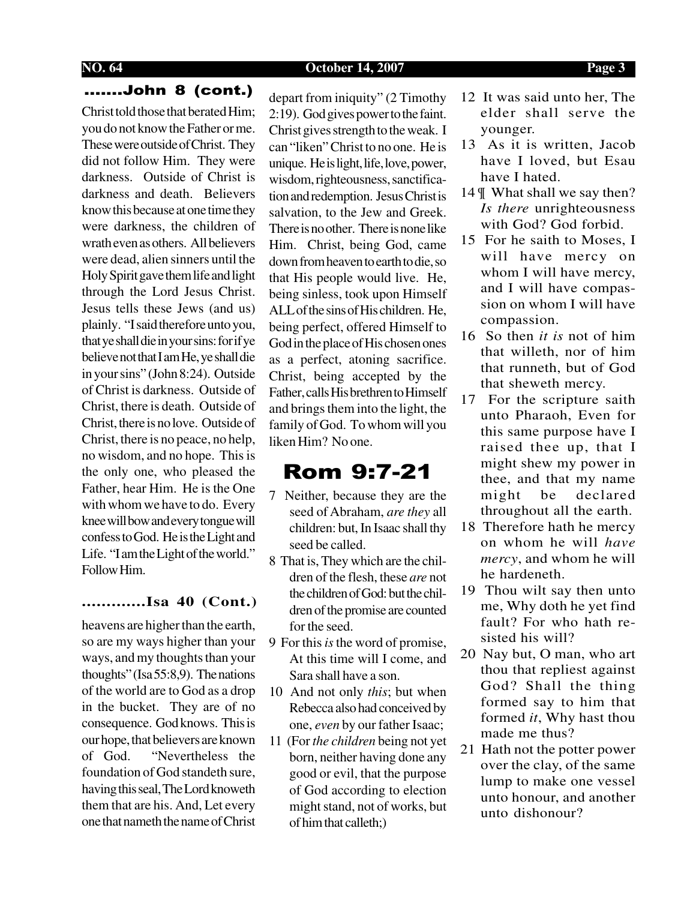#### **NO. 64 October 14, 2007 Page 3**

### .......John 8 (cont.)

Christ told those that berated Him; you do not know the Father or me. These were outside of Christ. They did not follow Him. They were darkness. Outside of Christ is darkness and death. Believers know this because at one time they were darkness, the children of wrath even as others. All believers were dead, alien sinners until the Holy Spirit gave them life and light through the Lord Jesus Christ. Jesus tells these Jews (and us) plainly. "I said therefore unto you, that ye shall die in your sins: for if ye believe not that I am He, ye shall die in your sins" (John 8:24). Outside of Christ is darkness. Outside of Christ, there is death. Outside of Christ, there is no love. Outside of Christ, there is no peace, no help, no wisdom, and no hope. This is the only one, who pleased the Father, hear Him. He is the One with whom we have to do. Every knee will bow and every tongue will confess to God. He is the Light and Life. "I am the Light of the world." Follow Him.

#### **.............Isa 40 (Cont.)**

heavens are higher than the earth, so are my ways higher than your ways, and my thoughts than your thoughts" (Isa 55:8,9). The nations of the world are to God as a drop in the bucket. They are of no consequence. God knows. This is our hope, that believers are known of God. "Nevertheless the foundation of God standeth sure, having this seal, The Lord knoweth them that are his. And, Let every one that nameth the name of Christ

depart from iniquity" (2 Timothy 2:19). God gives power to the faint. Christ gives strength to the weak. I can "liken" Christ to no one. He is unique. He is light, life, love, power, wisdom, righteousness, sanctification and redemption. Jesus Christ is salvation, to the Jew and Greek. There is no other. There is none like Him. Christ, being God, came down from heaven to earth to die, so that His people would live. He, being sinless, took upon Himself ALL of the sins of His children. He, being perfect, offered Himself to God in the place of His chosen ones as a perfect, atoning sacrifice. Christ, being accepted by the Father, calls His brethren to Himself and brings them into the light, the family of God. To whom will you liken Him? No one.

## Rom 9:7-21

- 7 Neither, because they are the seed of Abraham, *are they* all children: but, In Isaac shall thy seed be called.
- 8 That is, They which are the children of the flesh, these *are* not the children of God: but the children of the promise are counted for the seed.
- 9 For this *is* the word of promise, At this time will I come, and Sara shall have a son.
- 10 And not only *this*; but when Rebecca also had conceived by one, *even* by our father Isaac;
- 11 (For *the children* being not yet born, neither having done any good or evil, that the purpose of God according to election might stand, not of works, but of him that calleth;)
- 12 It was said unto her, The elder shall serve the younger.
- 13 As it is written, Jacob have I loved, but Esau have I hated.
- 14 ¶ What shall we say then? *Is there* unrighteousness with God? God forbid.
- 15 For he saith to Moses, I will have mercy on whom I will have mercy, and I will have compassion on whom I will have compassion.
- 16 So then *it is* not of him that willeth, nor of him that runneth, but of God that sheweth mercy.
- 17 For the scripture saith unto Pharaoh, Even for this same purpose have I raised thee up, that I might shew my power in thee, and that my name might be declared throughout all the earth.
- 18 Therefore hath he mercy on whom he will *have mercy*, and whom he will he hardeneth.
- 19 Thou wilt say then unto me, Why doth he yet find fault? For who hath resisted his will?
- 20 Nay but, O man, who art thou that repliest against God? Shall the thing formed say to him that formed *it*, Why hast thou made me thus?
- 21 Hath not the potter power over the clay, of the same lump to make one vessel unto honour, and another unto dishonour?